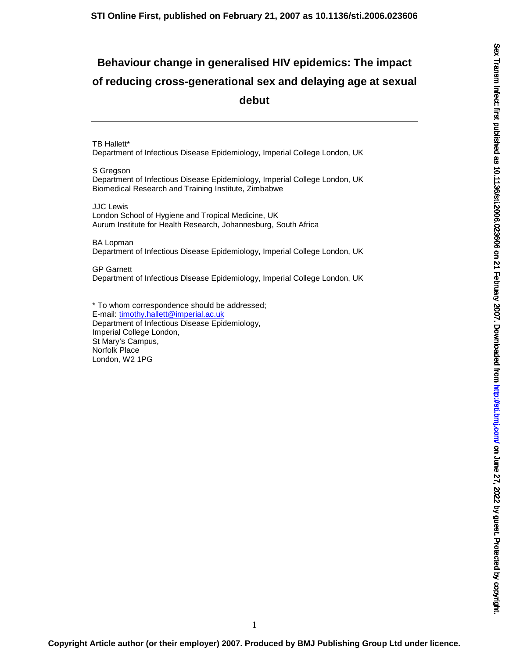# **Behaviour change in generalised HIV epidemics: The impact of reducing cross-generational sex and delaying age at sexual debut**

TB Hallett\* Department of Infectious Disease Epidemiology, Imperial College London, UK

S Gregson Department of Infectious Disease Epidemiology, Imperial College London, UK Biomedical Research and Training Institute, Zimbabwe

JJC Lewis London School of Hygiene and Tropical Medicine, UK Aurum Institute for Health Research, Johannesburg, South Africa

BA Lopman Department of Infectious Disease Epidemiology, Imperial College London, UK

GP Garnett Department of Infectious Disease Epidemiology, Imperial College London, UK

\* To whom correspondence should be addressed; E-mail: timothy.hallett@imperial.ac.uk Department of Infectious Disease Epidemiology, Imperial College London, St Mary's Campus, Norfolk Place London, W2 1PG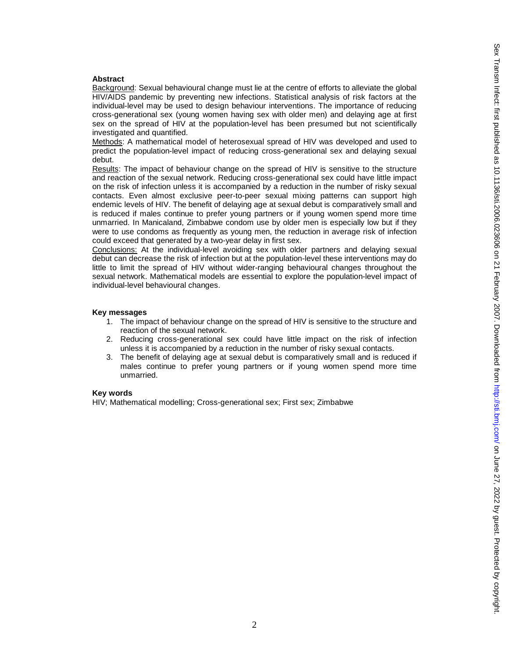# **Abstract**

Background: Sexual behavioural change must lie at the centre of efforts to alleviate the global HIV/AIDS pandemic by preventing new infections. Statistical analysis of risk factors at the individual-level may be used to design behaviour interventions. The importance of reducing cross-generational sex (young women having sex with older men) and delaying age at first sex on the spread of HIV at the population-level has been presumed but not scientifically investigated and quantified.

Methods: A mathematical model of heterosexual spread of HIV was developed and used to predict the population-level impact of reducing cross-generational sex and delaying sexual debut.

Results: The impact of behaviour change on the spread of HIV is sensitive to the structure and reaction of the sexual network. Reducing cross-generational sex could have little impact on the risk of infection unless it is accompanied by a reduction in the number of risky sexual contacts. Even almost exclusive peer-to-peer sexual mixing patterns can support high endemic levels of HIV. The benefit of delaying age at sexual debut is comparatively small and is reduced if males continue to prefer young partners or if young women spend more time unmarried. In Manicaland, Zimbabwe condom use by older men is especially low but if they were to use condoms as frequently as young men, the reduction in average risk of infection could exceed that generated by a two-year delay in first sex.

Conclusions: At the individual-level avoiding sex with older partners and delaying sexual debut can decrease the risk of infection but at the population-level these interventions may do little to limit the spread of HIV without wider-ranging behavioural changes throughout the sexual network. Mathematical models are essential to explore the population-level impact of individual-level behavioural changes.

## **Key messages**

- 1. The impact of behaviour change on the spread of HIV is sensitive to the structure and reaction of the sexual network.
- 2. Reducing cross-generational sex could have little impact on the risk of infection unless it is accompanied by a reduction in the number of risky sexual contacts.
- 3. The benefit of delaying age at sexual debut is comparatively small and is reduced if males continue to prefer young partners or if young women spend more time unmarried.

## **Key words**

HIV; Mathematical modelling; Cross-generational sex; First sex; Zimbabwe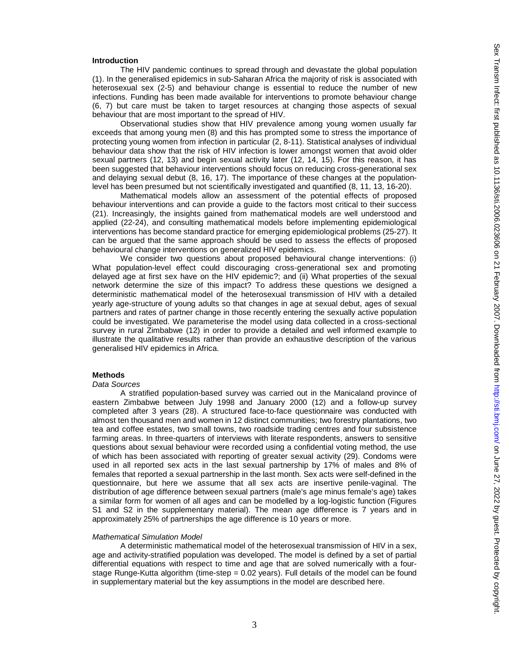#### **Introduction**

The HIV pandemic continues to spread through and devastate the global population (1). In the generalised epidemics in sub-Saharan Africa the majority of risk is associated with heterosexual sex (2-5) and behaviour change is essential to reduce the number of new infections. Funding has been made available for interventions to promote behaviour change (6, 7) but care must be taken to target resources at changing those aspects of sexual behaviour that are most important to the spread of HIV.

Observational studies show that HIV prevalence among young women usually far exceeds that among young men (8) and this has prompted some to stress the importance of protecting young women from infection in particular (2, 8-11). Statistical analyses of individual behaviour data show that the risk of HIV infection is lower amongst women that avoid older sexual partners (12, 13) and begin sexual activity later (12, 14, 15). For this reason, it has been suggested that behaviour interventions should focus on reducing cross-generational sex and delaying sexual debut (8, 16, 17). The importance of these changes at the populationlevel has been presumed but not scientifically investigated and quantified (8, 11, 13, 16-20).

Mathematical models allow an assessment of the potential effects of proposed behaviour interventions and can provide a guide to the factors most critical to their success (21). Increasingly, the insights gained from mathematical models are well understood and applied (22-24), and consulting mathematical models before implementing epidemiological interventions has become standard practice for emerging epidemiological problems (25-27). It can be argued that the same approach should be used to assess the effects of proposed behavioural change interventions on generalized HIV epidemics.

We consider two questions about proposed behavioural change interventions: (i) What population-level effect could discouraging cross-generational sex and promoting delayed age at first sex have on the HIV epidemic?; and (ii) What properties of the sexual network determine the size of this impact? To address these questions we designed a deterministic mathematical model of the heterosexual transmission of HIV with a detailed yearly age-structure of young adults so that changes in age at sexual debut, ages of sexual partners and rates of partner change in those recently entering the sexually active population could be investigated. We parameterise the model using data collected in a cross-sectional survey in rural Zimbabwe (12) in order to provide a detailed and well informed example to illustrate the qualitative results rather than provide an exhaustive description of the various generalised HIV epidemics in Africa.

## **Methods**

#### *Data Sources*

 A stratified population-based survey was carried out in the Manicaland province of eastern Zimbabwe between July 1998 and January 2000 (12) and a follow-up survey completed after 3 years (28). A structured face-to-face questionnaire was conducted with almost ten thousand men and women in 12 distinct communities; two forestry plantations, two tea and coffee estates, two small towns, two roadside trading centres and four subsistence farming areas. In three-quarters of interviews with literate respondents, answers to sensitive questions about sexual behaviour were recorded using a confidential voting method, the use of which has been associated with reporting of greater sexual activity (29). Condoms were used in all reported sex acts in the last sexual partnership by 17% of males and 8% of females that reported a sexual partnership in the last month. Sex acts were self-defined in the questionnaire, but here we assume that all sex acts are insertive penile-vaginal. The distribution of age difference between sexual partners (male's age minus female's age) takes a similar form for women of all ages and can be modelled by a log-logistic function (Figures S1 and S2 in the supplementary material). The mean age difference is 7 years and in approximately 25% of partnerships the age difference is 10 years or more.

#### *Mathematical Simulation Model*

A deterministic mathematical model of the heterosexual transmission of HIV in a sex, age and activity-stratified population was developed. The model is defined by a set of partial differential equations with respect to time and age that are solved numerically with a fourstage Runge-Kutta algorithm (time-step = 0.02 years). Full details of the model can be found in supplementary material but the key assumptions in the model are described here.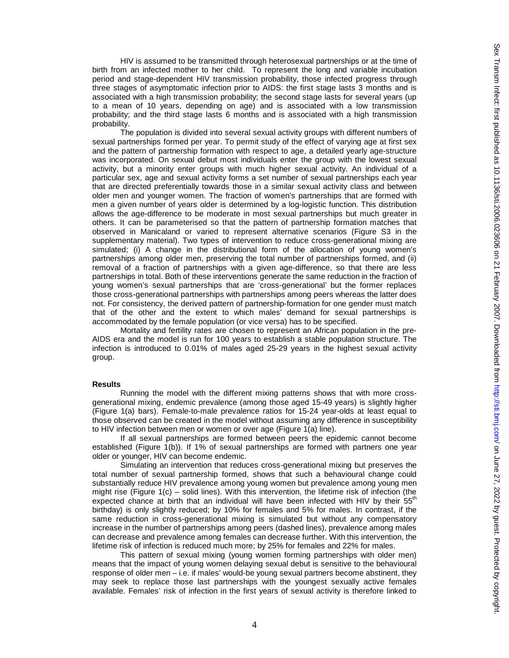HIV is assumed to be transmitted through heterosexual partnerships or at the time of birth from an infected mother to her child. To represent the long and variable incubation period and stage-dependent HIV transmission probability, those infected progress through three stages of asymptomatic infection prior to AIDS: the first stage lasts 3 months and is associated with a high transmission probability; the second stage lasts for several years (up to a mean of 10 years, depending on age) and is associated with a low transmission probability; and the third stage lasts 6 months and is associated with a high transmission probability.

The population is divided into several sexual activity groups with different numbers of sexual partnerships formed per year. To permit study of the effect of varying age at first sex and the pattern of partnership formation with respect to age, a detailed yearly age-structure was incorporated. On sexual debut most individuals enter the group with the lowest sexual activity, but a minority enter groups with much higher sexual activity. An individual of a particular sex, age and sexual activity forms a set number of sexual partnerships each year that are directed preferentially towards those in a similar sexual activity class and between older men and younger women. The fraction of women's partnerships that are formed with men a given number of years older is determined by a log-logistic function. This distribution allows the age-difference to be moderate in most sexual partnerships but much greater in others. It can be parameterised so that the pattern of partnership formation matches that observed in Manicaland or varied to represent alternative scenarios (Figure S3 in the supplementary material). Two types of intervention to reduce cross-generational mixing are simulated; (i) A change in the distributional form of the allocation of young women's partnerships among older men, preserving the total number of partnerships formed, and (ii) removal of a fraction of partnerships with a given age-difference, so that there are less partnerships in total. Both of these interventions generate the same reduction in the fraction of young women's sexual partnerships that are 'cross-generational' but the former replaces those cross-generational partnerships with partnerships among peers whereas the latter does not. For consistency, the derived pattern of partnership-formation for one gender must match that of the other and the extent to which males' demand for sexual partnerships is accommodated by the female population (or vice versa) has to be specified.

 Mortality and fertility rates are chosen to represent an African population in the pre-AIDS era and the model is run for 100 years to establish a stable population structure. The infection is introduced to 0.01% of males aged 25-29 years in the highest sexual activity group.

#### **Results**

Running the model with the different mixing patterns shows that with more crossgenerational mixing, endemic prevalence (among those aged 15-49 years) is slightly higher (Figure 1(a) bars). Female-to-male prevalence ratios for 15-24 year-olds at least equal to those observed can be created in the model without assuming any difference in susceptibility to HIV infection between men or women or over age (Figure 1(a) line).

If all sexual partnerships are formed between peers the epidemic cannot become established (Figure 1(b)). If 1% of sexual partnerships are formed with partners one year older or younger, HIV can become endemic.

Simulating an intervention that reduces cross-generational mixing but preserves the total number of sexual partnership formed, shows that such a behavioural change could substantially reduce HIV prevalence among young women but prevalence among young men might rise (Figure  $1(c)$  – solid lines). With this intervention, the lifetime risk of infection (the expected chance at birth that an individual will have been infected with HIV by their  $55<sup>th</sup>$ birthday) is only slightly reduced; by 10% for females and 5% for males. In contrast, if the same reduction in cross-generational mixing is simulated but without any compensatory increase in the number of partnerships among peers (dashed lines), prevalence among males can decrease and prevalence among females can decrease further. With this intervention, the lifetime risk of infection is reduced much more; by 25% for females and 22% for males.

This pattern of sexual mixing (young women forming partnerships with older men) means that the impact of young women delaying sexual debut is sensitive to the behavioural response of older men – i.e. if males' would-be young sexual partners become abstinent, they may seek to replace those last partnerships with the youngest sexually active females available. Females' risk of infection in the first years of sexual activity is therefore linked to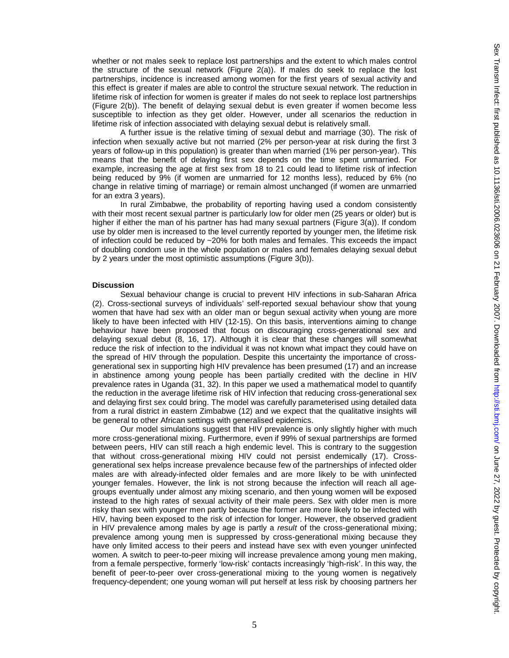whether or not males seek to replace lost partnerships and the extent to which males control the structure of the sexual network (Figure 2(a)). If males do seek to replace the lost partnerships, incidence is increased among women for the first years of sexual activity and this effect is greater if males are able to control the structure sexual network. The reduction in lifetime risk of infection for women is greater if males do not seek to replace lost partnerships (Figure 2(b)). The benefit of delaying sexual debut is even greater if women become less susceptible to infection as they get older. However, under all scenarios the reduction in lifetime risk of infection associated with delaying sexual debut is relatively small.

A further issue is the relative timing of sexual debut and marriage (30). The risk of infection when sexually active but not married (2% per person-year at risk during the first 3 years of follow-up in this population) is greater than when married (1% per person-year). This means that the benefit of delaying first sex depends on the time spent unmarried. For example, increasing the age at first sex from 18 to 21 could lead to lifetime risk of infection being reduced by 9% (if women are unmarried for 12 months less), reduced by 6% (no change in relative timing of marriage) or remain almost unchanged (if women are unmarried for an extra 3 years).

 In rural Zimbabwe, the probability of reporting having used a condom consistently with their most recent sexual partner is particularly low for older men (25 years or older) but is higher if either the man of his partner has had many sexual partners (Figure 3(a)). If condom use by older men is increased to the level currently reported by younger men, the lifetime risk of infection could be reduced by ~20% for both males and females. This exceeds the impact of doubling condom use in the whole population or males and females delaying sexual debut by 2 years under the most optimistic assumptions (Figure 3(b)).

#### **Discussion**

Sexual behaviour change is crucial to prevent HIV infections in sub-Saharan Africa (2). Cross-sectional surveys of individuals' self-reported sexual behaviour show that young women that have had sex with an older man or begun sexual activity when young are more likely to have been infected with HIV (12-15). On this basis, interventions aiming to change behaviour have been proposed that focus on discouraging cross-generational sex and delaying sexual debut (8, 16, 17). Although it is clear that these changes will somewhat reduce the risk of infection to the individual it was not known what impact they could have on the spread of HIV through the population. Despite this uncertainty the importance of crossgenerational sex in supporting high HIV prevalence has been presumed (17) and an increase in abstinence among young people has been partially credited with the decline in HIV prevalence rates in Uganda (31, 32). In this paper we used a mathematical model to quantify the reduction in the average lifetime risk of HIV infection that reducing cross-generational sex and delaying first sex could bring. The model was carefully parameterised using detailed data from a rural district in eastern Zimbabwe (12) and we expect that the qualitative insights will be general to other African settings with generalised epidemics.

Our model simulations suggest that HIV prevalence is only slightly higher with much more cross-generational mixing. Furthermore, even if 99% of sexual partnerships are formed between peers, HIV can still reach a high endemic level. This is contrary to the suggestion that without cross-generational mixing HIV could not persist endemically (17). Crossgenerational sex helps increase prevalence because few of the partnerships of infected older males are with already-infected older females and are more likely to be with uninfected younger females. However, the link is not strong because the infection will reach all agegroups eventually under almost any mixing scenario, and then young women will be exposed instead to the high rates of sexual activity of their male peers. Sex with older men is more risky than sex with younger men partly because the former are more likely to be infected with HIV, having been exposed to the risk of infection for longer. However, the observed gradient in HIV prevalence among males by age is partly a *result* of the cross-generational mixing; prevalence among young men is suppressed by cross-generational mixing because they have only limited access to their peers and instead have sex with even younger uninfected women. A switch to peer-to-peer mixing will increase prevalence among young men making, from a female perspective, formerly 'low-risk' contacts increasingly 'high-risk'. In this way, the benefit of peer-to-peer over cross-generational mixing to the young women is negatively frequency-dependent; one young woman will put herself at less risk by choosing partners her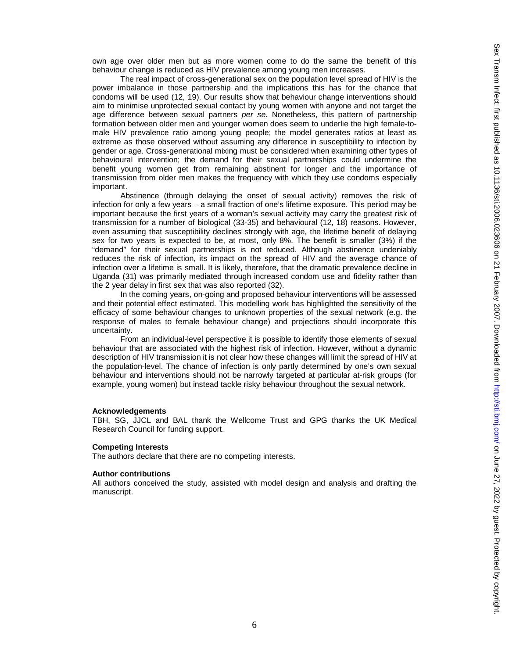own age over older men but as more women come to do the same the benefit of this behaviour change is reduced as HIV prevalence among young men increases.

The real impact of cross-generational sex on the population level spread of HIV is the power imbalance in those partnership and the implications this has for the chance that condoms will be used (12, 19). Our results show that behaviour change interventions should aim to minimise unprotected sexual contact by young women with anyone and not target the age difference between sexual partners *per se*. Nonetheless, this pattern of partnership formation between older men and younger women does seem to underlie the high female-tomale HIV prevalence ratio among young people; the model generates ratios at least as extreme as those observed without assuming any difference in susceptibility to infection by gender or age. Cross-generational mixing must be considered when examining other types of behavioural intervention; the demand for their sexual partnerships could undermine the benefit young women get from remaining abstinent for longer and the importance of transmission from older men makes the frequency with which they use condoms especially important.

Abstinence (through delaying the onset of sexual activity) removes the risk of infection for only a few years – a small fraction of one's lifetime exposure. This period may be important because the first years of a woman's sexual activity may carry the greatest risk of transmission for a number of biological (33-35) and behavioural (12, 18) reasons. However, even assuming that susceptibility declines strongly with age, the lifetime benefit of delaying sex for two years is expected to be, at most, only 8%. The benefit is smaller (3%) if the "demand" for their sexual partnerships is not reduced. Although abstinence undeniably reduces the risk of infection, its impact on the spread of HIV and the average chance of infection over a lifetime is small. It is likely, therefore, that the dramatic prevalence decline in Uganda (31) was primarily mediated through increased condom use and fidelity rather than the 2 year delay in first sex that was also reported (32).

In the coming years, on-going and proposed behaviour interventions will be assessed and their potential effect estimated. This modelling work has highlighted the sensitivity of the efficacy of some behaviour changes to unknown properties of the sexual network (e.g. the response of males to female behaviour change) and projections should incorporate this uncertainty.

From an individual-level perspective it is possible to identify those elements of sexual behaviour that are associated with the highest risk of infection. However, without a dynamic description of HIV transmission it is not clear how these changes will limit the spread of HIV at the population-level. The chance of infection is only partly determined by one's own sexual behaviour and interventions should not be narrowly targeted at particular at-risk groups (for example, young women) but instead tackle risky behaviour throughout the sexual network.

#### **Acknowledgements**

TBH, SG, JJCL and BAL thank the Wellcome Trust and GPG thanks the UK Medical Research Council for funding support.

#### **Competing Interests**

The authors declare that there are no competing interests.

#### **Author contributions**

All authors conceived the study, assisted with model design and analysis and drafting the manuscript.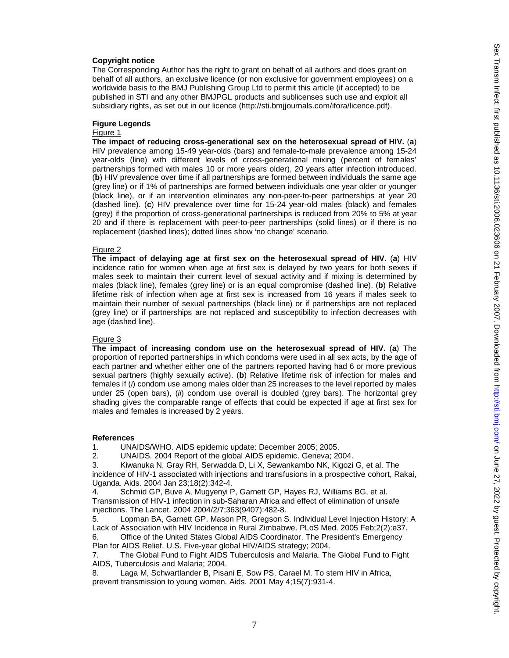#### **Copyright notice**

The Corresponding Author has the right to grant on behalf of all authors and does grant on behalf of all authors, an exclusive licence (or non exclusive for government employees) on a worldwide basis to the BMJ Publishing Group Ltd to permit this article (if accepted) to be published in STI and any other BMJPGL products and sublicenses such use and exploit all subsidiary rights, as set out in our licence (http://sti.bmjjournals.com/ifora/licence.pdf).

### **Figure Legends**

# Figure 1

**The impact of reducing cross-generational sex on the heterosexual spread of HIV.** (**a**) HIV prevalence among 15-49 year-olds (bars) and female-to-male prevalence among 15-24 year-olds (line) with different levels of cross-generational mixing (percent of females' partnerships formed with males 10 or more years older), 20 years after infection introduced. (**b**) HIV prevalence over time if all partnerships are formed between individuals the same age (grey line) or if 1% of partnerships are formed between individuals one year older or younger (black line), or if an intervention eliminates any non-peer-to-peer partnerships at year 20 (dashed line). (**c**) HIV prevalence over time for 15-24 year-old males (black) and females (grey) if the proportion of cross-generational partnerships is reduced from 20% to 5% at year 20 and if there is replacement with peer-to-peer partnerships (solid lines) or if there is no replacement (dashed lines); dotted lines show 'no change' scenario.

#### Figure 2

**The impact of delaying age at first sex on the heterosexual spread of HIV.** (**a**) HIV incidence ratio for women when age at first sex is delayed by two years for both sexes if males seek to maintain their current level of sexual activity and if mixing is determined by males (black line), females (grey line) or is an equal compromise (dashed line). (**b**) Relative lifetime risk of infection when age at first sex is increased from 16 years if males seek to maintain their number of sexual partnerships (black line) or if partnerships are not replaced (grey line) or if partnerships are not replaced and susceptibility to infection decreases with age (dashed line).

#### Figure 3

**The impact of increasing condom use on the heterosexual spread of HIV.** (**a**) The proportion of reported partnerships in which condoms were used in all sex acts, by the age of each partner and whether either one of the partners reported having had 6 or more previous sexual partners (highly sexually active). (**b**) Relative lifetime risk of infection for males and females if (*i*) condom use among males older than 25 increases to the level reported by males under 25 (open bars), (*ii*) condom use overall is doubled (grey bars). The horizontal grey shading gives the comparable range of effects that could be expected if age at first sex for males and females is increased by 2 years.

#### **References**

1. UNAIDS/WHO. AIDS epidemic update: December 2005; 2005.

2. UNAIDS. 2004 Report of the global AIDS epidemic. Geneva; 2004.

3. Kiwanuka N, Gray RH, Serwadda D, Li X, Sewankambo NK, Kigozi G, et al. The incidence of HIV-1 associated with injections and transfusions in a prospective cohort, Rakai, Uganda. Aids. 2004 Jan 23;18(2):342-4.

4. Schmid GP, Buve A, Mugyenyi P, Garnett GP, Hayes RJ, Williams BG, et al. Transmission of HIV-1 infection in sub-Saharan Africa and effect of elimination of unsafe injections. The Lancet. 2004 2004/2/7;363(9407):482-8.

5. Lopman BA, Garnett GP, Mason PR, Gregson S. Individual Level Injection History: A Lack of Association with HIV Incidence in Rural Zimbabwe. PLoS Med. 2005 Feb;2(2):e37.

6. Office of the United States Global AIDS Coordinator. The President's Emergency Plan for AIDS Relief. U.S. Five-year global HIV/AIDS strategy; 2004.

7. The Global Fund to Fight AIDS Tuberculosis and Malaria. The Global Fund to Fight AIDS, Tuberculosis and Malaria; 2004.

8. Laga M, Schwartlander B, Pisani E, Sow PS, Carael M. To stem HIV in Africa, prevent transmission to young women. Aids. 2001 May 4;15(7):931-4.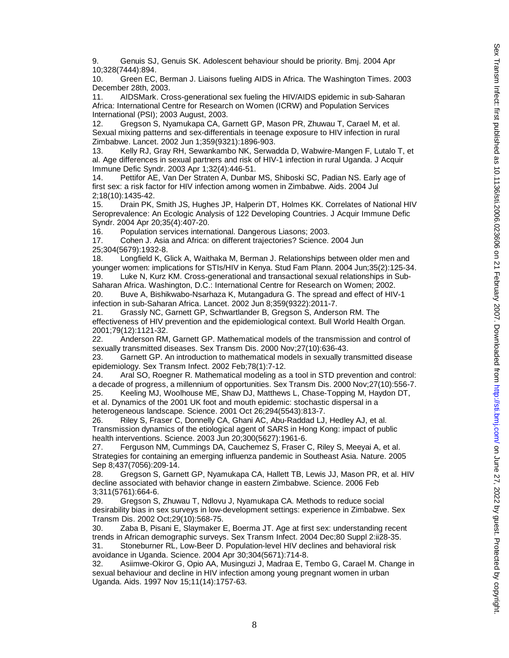9. Genuis SJ, Genuis SK. Adolescent behaviour should be priority. Bmj. 2004 Apr 10;328(7444):894.

10. Green EC, Berman J. Liaisons fueling AIDS in Africa. The Washington Times. 2003 December 28th, 2003.

11. AIDSMark. Cross-generational sex fueling the HIV/AIDS epidemic in sub-Saharan Africa: International Centre for Research on Women (ICRW) and Population Services International (PSI); 2003 August, 2003.

12. Gregson S, Nyamukapa CA, Garnett GP, Mason PR, Zhuwau T, Carael M, et al. Sexual mixing patterns and sex-differentials in teenage exposure to HIV infection in rural Zimbabwe. Lancet. 2002 Jun 1;359(9321):1896-903.

13. Kelly RJ, Gray RH, Sewankambo NK, Serwadda D, Wabwire-Mangen F, Lutalo T, et al. Age differences in sexual partners and risk of HIV-1 infection in rural Uganda. J Acquir Immune Defic Syndr. 2003 Apr 1;32(4):446-51.

14. Pettifor AE, Van Der Straten A, Dunbar MS, Shiboski SC, Padian NS. Early age of first sex: a risk factor for HIV infection among women in Zimbabwe. Aids. 2004 Jul 2;18(10):1435-42.

15. Drain PK, Smith JS, Hughes JP, Halperin DT, Holmes KK. Correlates of National HIV Seroprevalence: An Ecologic Analysis of 122 Developing Countries. J Acquir Immune Defic Syndr. 2004 Apr 20;35(4):407-20.

16. Population services international. Dangerous Liasons; 2003.

17. Cohen J. Asia and Africa: on different trajectories? Science. 2004 Jun 25;304(5679):1932-8.

18. Longfield K, Glick A, Waithaka M, Berman J. Relationships between older men and younger women: implications for STIs/HIV in Kenya. Stud Fam Plann. 2004 Jun;35(2):125-34. 19. Luke N, Kurz KM. Cross-generational and transactional sexual relationships in Sub-

Saharan Africa. Washington, D.C.: International Centre for Research on Women; 2002. 20. Buve A, Bishikwabo-Nsarhaza K, Mutangadura G. The spread and effect of HIV-1

infection in sub-Saharan Africa. Lancet. 2002 Jun 8;359(9322):2011-7.

21. Grassly NC, Garnett GP, Schwartlander B, Gregson S, Anderson RM. The effectiveness of HIV prevention and the epidemiological context. Bull World Health Organ. 2001;79(12):1121-32.

22. Anderson RM, Garnett GP. Mathematical models of the transmission and control of sexually transmitted diseases. Sex Transm Dis. 2000 Nov;27(10):636-43.

23. Garnett GP. An introduction to mathematical models in sexually transmitted disease epidemiology. Sex Transm Infect. 2002 Feb;78(1):7-12.

24. Aral SO, Roegner R. Mathematical modeling as a tool in STD prevention and control: a decade of progress, a millennium of opportunities. Sex Transm Dis. 2000 Nov;27(10):556-7.

25. Keeling MJ, Woolhouse ME, Shaw DJ, Matthews L, Chase-Topping M, Haydon DT, et al. Dynamics of the 2001 UK foot and mouth epidemic: stochastic dispersal in a heterogeneous landscape. Science. 2001 Oct 26;294(5543):813-7.

26. Riley S, Fraser C, Donnelly CA, Ghani AC, Abu-Raddad LJ, Hedley AJ, et al. Transmission dynamics of the etiological agent of SARS in Hong Kong: impact of public health interventions. Science. 2003 Jun 20;300(5627):1961-6.

27. Ferguson NM, Cummings DA, Cauchemez S, Fraser C, Riley S, Meeyai A, et al. Strategies for containing an emerging influenza pandemic in Southeast Asia. Nature. 2005 Sep 8;437(7056):209-14.

28. Gregson S, Garnett GP, Nyamukapa CA, Hallett TB, Lewis JJ, Mason PR, et al. HIV decline associated with behavior change in eastern Zimbabwe. Science. 2006 Feb 3;311(5761):664-6.

29. Gregson S, Zhuwau T, Ndlovu J, Nyamukapa CA. Methods to reduce social desirability bias in sex surveys in low-development settings: experience in Zimbabwe. Sex Transm Dis. 2002 Oct;29(10):568-75.

30. Zaba B, Pisani E, Slaymaker E, Boerma JT. Age at first sex: understanding recent trends in African demographic surveys. Sex Transm Infect. 2004 Dec;80 Suppl 2:ii28-35. 31. Stoneburner RL, Low-Beer D. Population-level HIV declines and behavioral risk

avoidance in Uganda. Science. 2004 Apr 30;304(5671):714-8.

32. Asiimwe-Okiror G, Opio AA, Musinguzi J, Madraa E, Tembo G, Carael M. Change in sexual behaviour and decline in HIV infection among young pregnant women in urban Uganda. Aids. 1997 Nov 15;11(14):1757-63.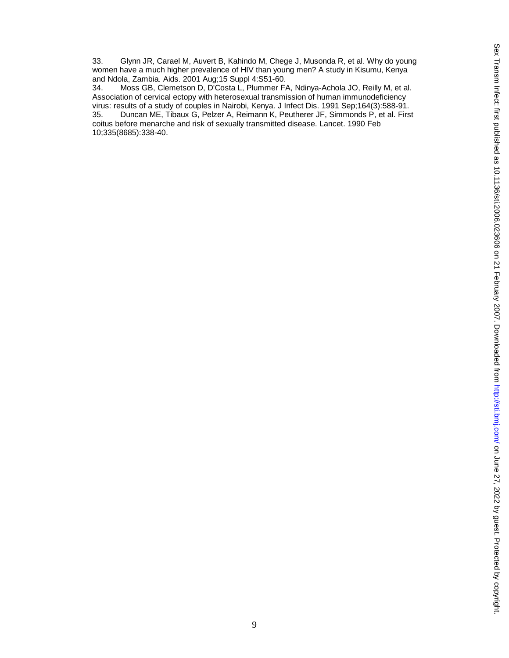33. Glynn JR, Carael M, Auvert B, Kahindo M, Chege J, Musonda R, et al. Why do young women have a much higher prevalence of HIV than young men? A study in Kisumu, Kenya and Ndola, Zambia. Aids. 2001 Aug;15 Suppl 4:S51-60.

34. Moss GB, Clemetson D, D'Costa L, Plummer FA, Ndinya-Achola JO, Reilly M, et al. Association of cervical ectopy with heterosexual transmission of human immunodeficiency virus: results of a study of couples in Nairobi, Kenya. J Infect Dis. 1991 Sep;164(3):588-91.<br>35. Duncan ME, Tibaux G, Pelzer A, Reimann K, Peutherer JF, Simmonds P, et al. Firs 35. Duncan ME, Tibaux G, Pelzer A, Reimann K, Peutherer JF, Simmonds P, et al. First coitus before menarche and risk of sexually transmitted disease. Lancet. 1990 Feb 10;335(8685):338-40.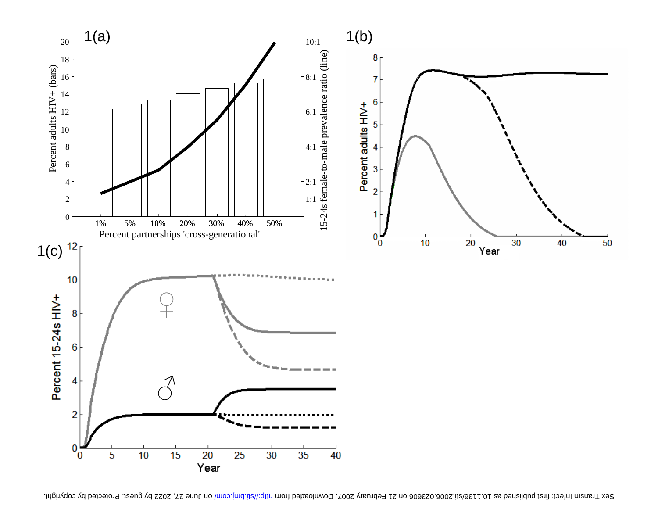

Sex Transm Infect: first bediened as 10.113/sti.2006. Doming Arther with the compromined as 15.300. By guest. Protected by copyright.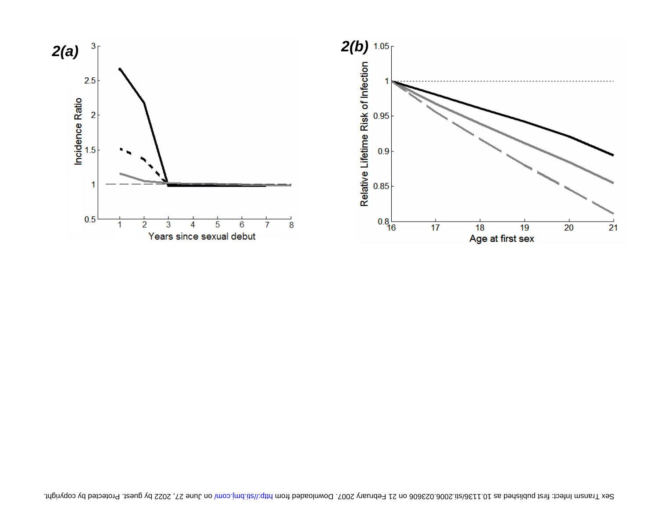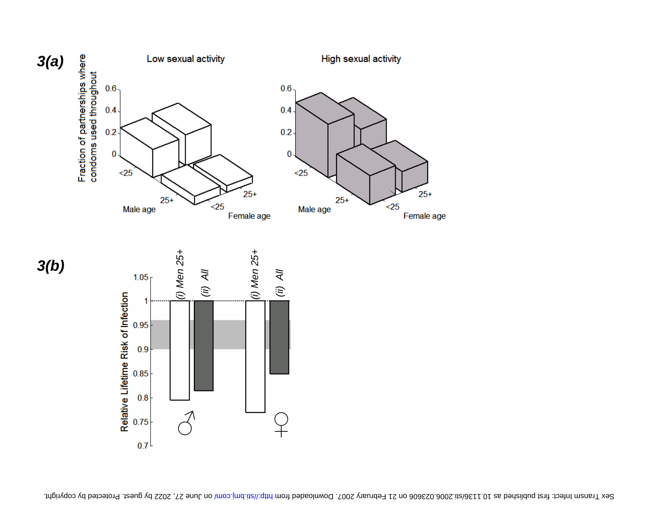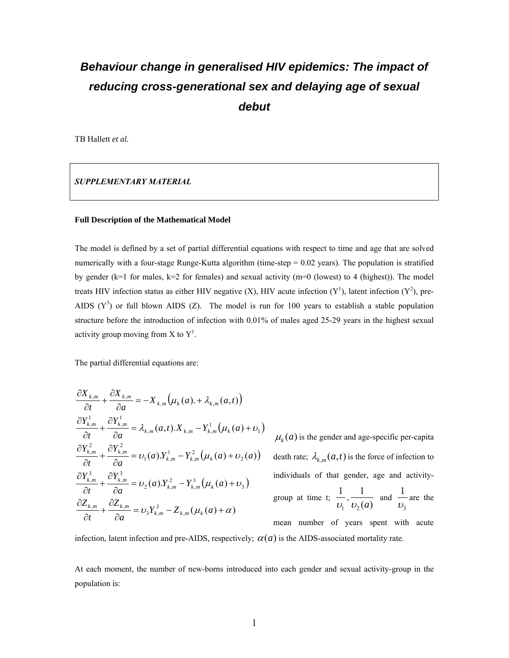# *Behaviour change in generalised HIV epidemics: The impact of reducing cross-generational sex and delaying age of sexual debut*

TB Hallett *et al.* 

*SUPPLEMENTARY MATERIAL* 

# **Full Description of the Mathematical Model**

The model is defined by a set of partial differential equations with respect to time and age that are solved numerically with a four-stage Runge-Kutta algorithm (time-step = 0.02 years). The population is stratified by gender ( $k=1$  for males,  $k=2$  for females) and sexual activity ( $m=0$  (lowest) to 4 (highest)). The model treats HIV infection status as either HIV negative (X), HIV acute infection  $(Y^1)$ , latent infection  $(Y^2)$ , pre-AIDS  $(Y^3)$  or full blown AIDS (Z). The model is run for 100 years to establish a stable population structure before the introduction of infection with 0.01% of males aged 25-29 years in the highest sexual activity group moving from X to  $Y^1$ .

The partial differential equations are:

$$
\frac{\partial X_{k,m}}{\partial t} + \frac{\partial X_{k,m}}{\partial a} = -X_{k,m} \left( \mu_k(a) + \lambda_{k,m}(a,t) \right)
$$
\n
$$
\frac{\partial Y_{k,m}^1}{\partial t} + \frac{\partial Y_{k,m}^1}{\partial a} = \lambda_{k,m}(a,t).X_{k,m} - Y_{k,m}^1 \left( \mu_k(a) + \nu_1 \right)
$$
\n
$$
\frac{\partial Y_{k,m}^2}{\partial t} + \frac{\partial Y_{k,m}^2}{\partial a} = \nu_1(a).Y_{k,m}^1 - Y_{k,m}^2 \left( \mu_k(a) + \nu_2(a) \right)
$$
\n
$$
\frac{\partial Y_{k,m}^3}{\partial t} + \frac{\partial Y_{k,m}^3}{\partial a} = \nu_2(a).Y_{k,m}^2 - Y_{k,m}^3 \left( \mu_k(a) + \nu_3 \right)
$$
\n
$$
\frac{\partial Z_{k,m}}{\partial t} + \frac{\partial Z_{k,m}}{\partial a} = \nu_3 Y_{k,m}^3 - Z_{k,m} \left( \mu_k(a) + \alpha \right)
$$

 $\mu_k(a)$  is the gender and age-specific per-capita death rate;  $\lambda_{k,m}(a,t)$  is the force of infection to individuals of that gender, age and activitygroup at time t; 1 1 1

1  $\frac{1}{v_1}, \frac{1}{v_2(a)}$  $\frac{1}{v_2(a)}$  and 3  $\frac{1}{v_2}$  are the

mean number of years spent with acute infection, latent infection and pre-AIDS, respectively;  $\alpha(a)$  is the AIDS-associated mortality rate.

At each moment, the number of new-borns introduced into each gender and sexual activity-group in the population is: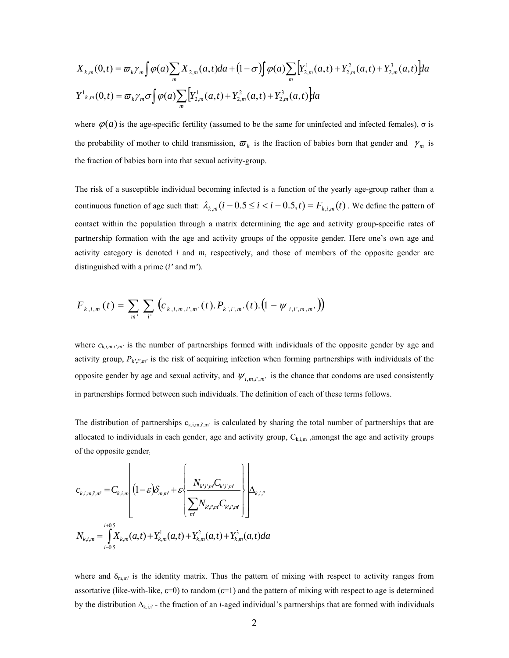$$
X_{k,m}(0,t) = \frac{\sigma_k \gamma_m \int \varphi(a) \sum_m X_{2,m}(a,t) da + (1-\sigma) \int \varphi(a) \sum_m \left[ Y_{2,m}^1(a,t) + Y_{2,m}^2(a,t) + Y_{2,m}^3(a,t) \right] da}{N^1_{k,m}(0,t) = \frac{\sigma_k \gamma_m \sigma \int \varphi(a) \sum_m \left[ Y_{2,m}^1(a,t) + Y_{2,m}^2(a,t) + Y_{2,m}^3(a,t) \right] da}
$$

where  $\varphi(a)$  is the age-specific fertility (assumed to be the same for uninfected and infected females),  $\sigma$  is the probability of mother to child transmission,  $\varpi_k$  is the fraction of babies born that gender and  $\gamma_m$  is the fraction of babies born into that sexual activity-group.

The risk of a susceptible individual becoming infected is a function of the yearly age-group rather than a continuous function of age such that:  $\lambda_{k,m}$  ( $i-0.5 \le i < i+0.5$ ,  $t$ ) =  $F_{k,i,m}$  ( $t$ ). We define the pattern of contact within the population through a matrix determining the age and activity group-specific rates of partnership formation with the age and activity groups of the opposite gender. Here one's own age and activity category is denoted *i* and *m*, respectively, and those of members of the opposite gender are distinguished with a prime (*i'* and *m'*).

$$
F_{k,i,m}(t) = \sum_{m'} \sum_{i'} \left( c_{k,i,m,i',m'}(t).P_{k',i',m'}(t).(1 - \psi_{i,i',m,m'}) \right)
$$

where  $c_{k,i,m,i',m'}$  is the number of partnerships formed with individuals of the opposite gender by age and activity group, *Pk',i',m'* is the risk of acquiring infection when forming partnerships with individuals of the opposite gender by age and sexual activity, and  $\psi_{i,m,i',m'}$  is the chance that condoms are used consistently in partnerships formed between such individuals. The definition of each of these terms follows.

The distribution of partnerships  $c_{k,i,m,i',m'}$  is calculated by sharing the total number of partnerships that are allocated to individuals in each gender, age and activity group,  $C_{k,i,m}$ , amongst the age and activity groups of the opposite gender:

$$
c_{k,i,m,i',m'} = C_{k,i,m} \left[ (1 - \varepsilon) \delta_{m,m'} + \varepsilon \left\{ \frac{N_{k',i',m'} C_{k',i',m'}}{\sum_{m'} N_{k',i',m'} C_{k',i',m'}} \right\} \right] \Delta_{k,i,i'}
$$
  

$$
N_{k,i,m} = \int_{i-0.5}^{i+0.5} X_{k,m}(a,t) + Y_{k,m}^1(a,t) + Y_{k,m}^2(a,t) + Y_{k,m}^3(a,t) da
$$

where and  $\delta_{m,m'}$  is the identity matrix. Thus the pattern of mixing with respect to activity ranges from assortative (like-with-like,  $\varepsilon=0$ ) to random ( $\varepsilon=1$ ) and the pattern of mixing with respect to age is determined by the distribution  $\Delta_{k,i,i'}$  - the fraction of an *i*-aged individual's partnerships that are formed with individuals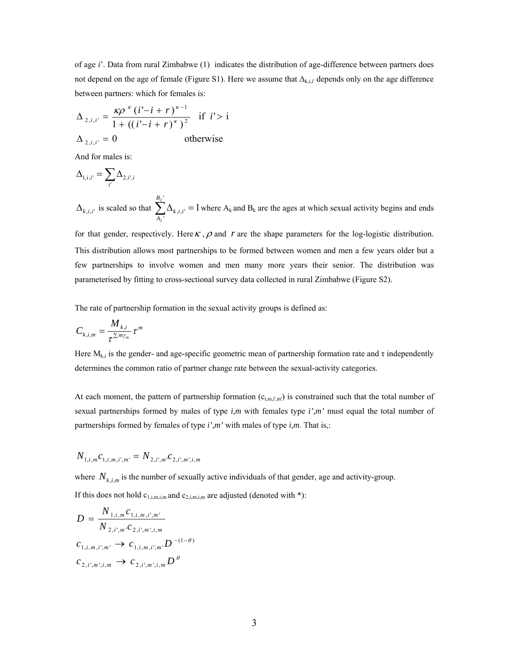of age *i*'. Data from rural Zimbabwe (1) indicates the distribution of age-difference between partners does not depend on the age of female (Figure S1). Here we assume that  $\Delta_{\text{k-i}}$  depends only on the age difference between partners: which for females is:

$$
\Delta_{2,i,i'} = \frac{\kappa \rho^{\kappa} (i'-i+r)^{\kappa-1}}{1 + ((i'-i+r)^{\kappa})^2} \text{ if } i' > i
$$
  

$$
\Delta_{2,i,i'} = 0 \qquad \text{otherwise}
$$

And for males is:

$$
\Delta_{\mathbf{l},i,i'}=\sum_{i'}\Delta_{\mathbf{2},i',i}
$$

 $\Delta_{k,i,i'}$  is scaled so that  $\sum \Delta_{k,i,i'} = 1$  where A '  $\cdot^{\Delta_{k,i,i}}$  $\sum^{B_2^+}\! \Delta_{k,i,i'}^{}=$ 2 *A*  $i_{k,i,i'} = 1$  where  $A_k$  and  $B_k$  are the ages at which sexual activity begins and ends

for that gender, respectively. Here  $\kappa$ ,  $\rho$  and  $r$  are the shape parameters for the log-logistic distribution. This distribution allows most partnerships to be formed between women and men a few years older but a few partnerships to involve women and men many more years their senior. The distribution was parameterised by fitting to cross-sectional survey data collected in rural Zimbabwe (Figure S2).

The rate of partnership formation in the sexual activity groups is defined as:

$$
C_{k,i,m} = \frac{M_{k,i}}{\tau^{\sum m\gamma_m}} \tau^m
$$

Here  $M_{k,i}$  is the gender- and age-specific geometric mean of partnership formation rate and  $\tau$  independently determines the common ratio of partner change rate between the sexual-activity categories.

At each moment, the pattern of partnership formation  $(c_{i,m,i',m'})$  is constrained such that the total number of sexual partnerships formed by males of type *i,m* with females type *i',m'* must equal the total number of partnerships formed by females of type *i',m'* with males of type *i,m*. That is,:

$$
N_{1,i,m}c_{1,i,m,i',m'}=N_{2,i',m'}c_{2,i',m',i,m}
$$

where  $N_{k,i,m}$  is the number of sexually active individuals of that gender, age and activity-group.

If this does not hold  $c_{1,i,m,i,m}$  and  $c_{2,i,m,i,m}$  are adjusted (denoted with \*):

$$
D = \frac{N_{1,i,m}c_{1,i,m,i',m'}}{N_{2,i',m'}c_{2,i',m',i,m}}
$$
  
\n
$$
c_{1,i,m,i',m'} \to c_{1,i,m,i',m} \cdot D^{-(1-\theta)}
$$
  
\n
$$
c_{2,i',m',i,m} \to c_{2,i',m',i,m} D^{\theta}
$$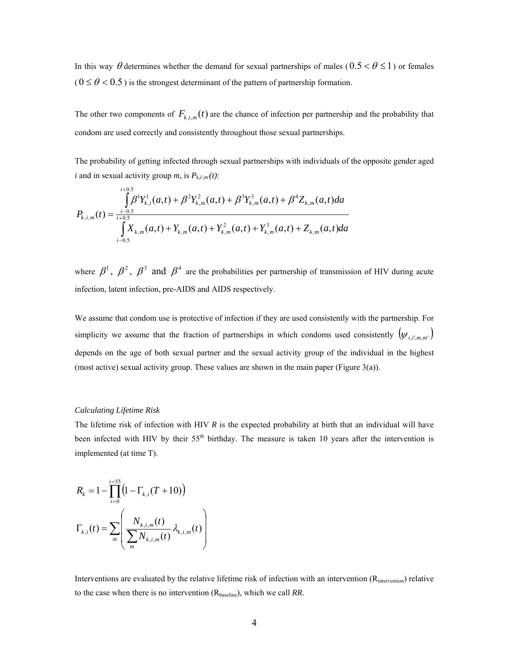In this way  $\theta$  determines whether the demand for sexual partnerships of males ( $0.5 < \theta \le 1$ ) or females  $(0 \le \theta < 0.5)$  is the strongest determinant of the pattern of partnership formation.

The other two components of  $F_{k,i,m}(t)$  are the chance of infection per partnership and the probability that condom are used correctly and consistently throughout those sexual partnerships.

The probability of getting infected through sexual partnerships with individuals of the opposite gender aged *i* and in sexual activity group *m*, is  $P_{k,i',m'}(t)$ :

$$
P_{k,i,m}(t) = \frac{\int_{i-0.5}^{i+0.5} \beta^1 Y_{k,i}^1(a,t) + \beta^2 Y_{k,m}^2(a,t) + \beta^3 Y_{k,m}^3(a,t) + \beta^4 Z_{k,m}(a,t) da}{\int_{i-0.5}^{i+0.5} X_{k,m}(a,t) + Y_{k,m}(a,t) + Y_{k,m}^2(a,t) + Y_{k,m}^3(a,t) + Z_{k,m}(a,t) da}
$$

where  $\beta^1$ ,  $\beta^2$ ,  $\beta^3$  and  $\beta^4$  are the probabilities per partnership of transmission of HIV during acute infection, latent infection, pre-AIDS and AIDS respectively.

We assume that condom use is protective of infection if they are used consistently with the partnership. For simplicity we assume that the fraction of partnerships in which condoms used consistently  $(\psi_{i,i',m,m'}')$ depends on the age of both sexual partner and the sexual activity group of the individual in the highest (most active) sexual activity group. These values are shown in the main paper (Figure 3(a)).

# *Calculating Lifetime Risk*

The lifetime risk of infection with HIV *R* is the expected probability at birth that an individual will have been infected with HIV by their 55<sup>th</sup> birthday. The measure is taken 10 years after the intervention is implemented (at time T).

$$
R_{k} = 1 - \prod_{i=0}^{i=55} (1 - \Gamma_{k,i}(T + 10))
$$

$$
\Gamma_{k,i}(t) = \sum_{m} \left( \frac{N_{k,i,m}(t)}{\sum_{m} N_{k,i,m}(t)} \lambda_{k,i,m}(t) \right)
$$

Interventions are evaluated by the relative lifetime risk of infection with an intervention ( $R_{intervention}$ ) relative to the case when there is no intervention (R<sub>baseline</sub>), which we call *RR*.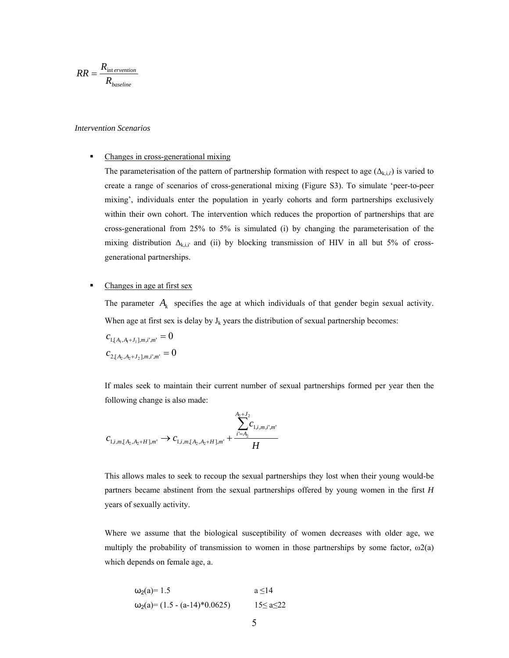$$
RR = \frac{R_{\text{int}\,\text{ervention}}}{R_{\text{baseline}}}
$$

# *Intervention Scenarios*

# • Changes in cross-generational mixing

The parameterisation of the pattern of partnership formation with respect to age  $(\Delta_{k,i,i'})$  is varied to create a range of scenarios of cross-generational mixing (Figure S3). To simulate 'peer-to-peer mixing', individuals enter the population in yearly cohorts and form partnerships exclusively within their own cohort. The intervention which reduces the proportion of partnerships that are cross-generational from 25% to 5% is simulated (i) by changing the parameterisation of the mixing distribution  $\Delta_{k,i,i'}$  and (ii) by blocking transmission of HIV in all but 5% of crossgenerational partnerships.

# • Changes in age at first sex

The parameter  $A_k$  specifies the age at which individuals of that gender begin sexual activity. When age at first sex is delay by  $J_k$  years the distribution of sexual partnership becomes:

$$
c_{1,[A_1,A_1+J_1],m,i',m'} = 0
$$
  

$$
c_{2,[A_2,A_2+J_2],m,i',m'} = 0
$$

If males seek to maintain their current number of sexual partnerships formed per year then the following change is also made:

$$
c_{1,i,m,[A_2,A_2+H],m'} \to c_{1,i,m,[A_2,A_2+H],m'} + \frac{\sum_{i'=A_2}^{A_2+J_2} c_{1,i,m,i',m'}}{H}
$$

This allows males to seek to recoup the sexual partnerships they lost when their young would-be partners became abstinent from the sexual partnerships offered by young women in the first *H* years of sexually activity.

Where we assume that the biological susceptibility of women decreases with older age, we multiply the probability of transmission to women in those partnerships by some factor,  $\omega_2(a)$ which depends on female age, a.

$$
\omega_2(a) = 1.5
$$
   
\n $\omega_2(a) = (1.5 - (a-14)*0.0625)$    
\n $a \le 14$    
\n $15 \le a \le 22$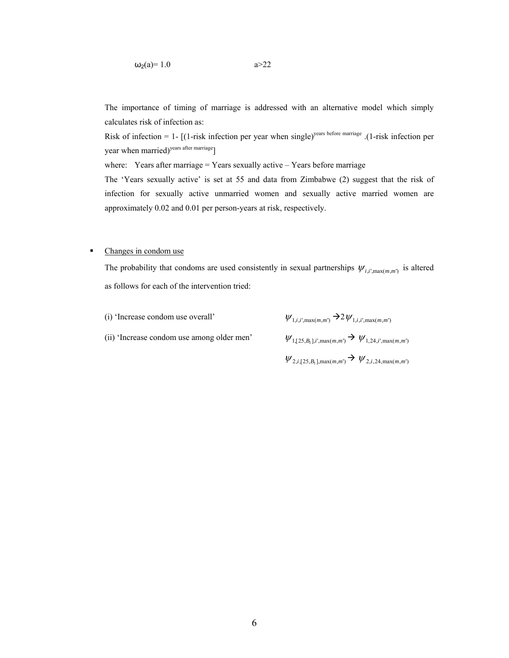The importance of timing of marriage is addressed with an alternative model which simply calculates risk of infection as:

Risk of infection = 1-  $[(1\text{-risk infection per year when single})^{\text{years before marriage}}$ . (1-risk infection per year when married)<sup>years after marriage</sup>]

where: Years after marriage = Years sexually active  $-$  Years before marriage

The 'Years sexually active' is set at 55 and data from Zimbabwe (2) suggest that the risk of infection for sexually active unmarried women and sexually active married women are approximately 0.02 and 0.01 per person-years at risk, respectively.

# • Changes in condom use

The probability that condoms are used consistently in sexual partnerships  $\psi_{i,i',\max(m,m')}$  is altered as follows for each of the intervention tried:

| (i) 'Increase condom use overall'          | $\psi_{1,i,i',\max(m,m')} \rightarrow 2\psi_{1,i,i',\max(m,m')}$ |
|--------------------------------------------|------------------------------------------------------------------|
| (ii) 'Increase condom use among older men' | $\psi_{1,[25,B_1],i',\max(m,m')} \to \psi_{1,24,i',\max(m,m')}$  |

 $\psi_{2,i,[25,B_1],\max(m,m')}$   $\rightarrow$   $\psi_{2,i,24,\max(m,m')}$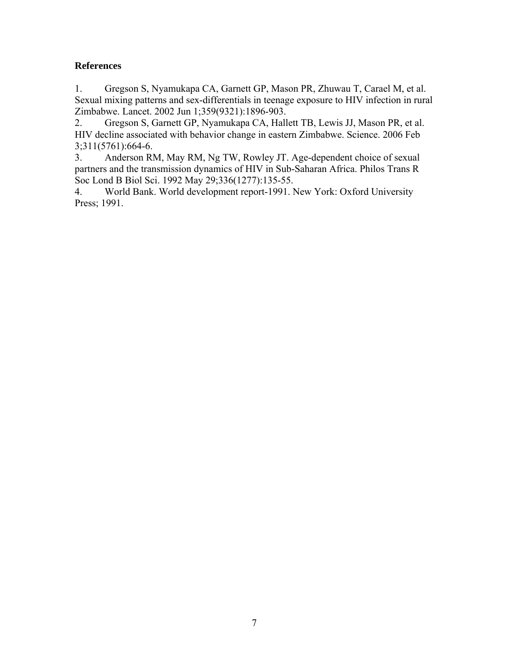# **References**

1. Gregson S, Nyamukapa CA, Garnett GP, Mason PR, Zhuwau T, Carael M, et al. Sexual mixing patterns and sex-differentials in teenage exposure to HIV infection in rural Zimbabwe. Lancet. 2002 Jun 1;359(9321):1896-903.

2. Gregson S, Garnett GP, Nyamukapa CA, Hallett TB, Lewis JJ, Mason PR, et al. HIV decline associated with behavior change in eastern Zimbabwe. Science. 2006 Feb 3;311(5761):664-6.

3. Anderson RM, May RM, Ng TW, Rowley JT. Age-dependent choice of sexual partners and the transmission dynamics of HIV in Sub-Saharan Africa. Philos Trans R Soc Lond B Biol Sci. 1992 May 29;336(1277):135-55.

4. World Bank. World development report-1991. New York: Oxford University Press; 1991.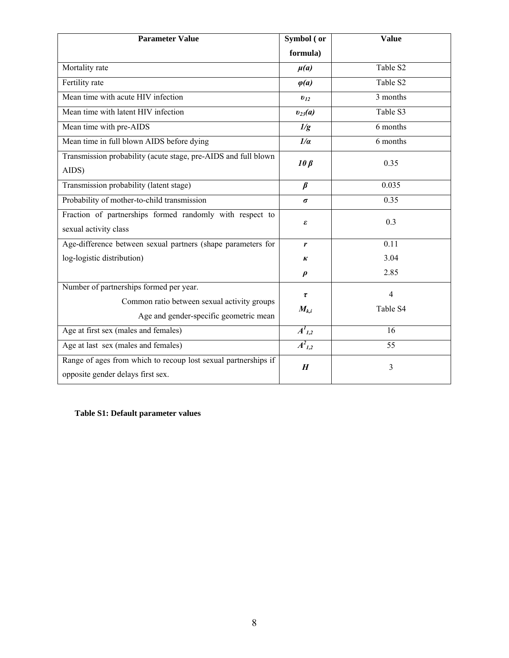| <b>Parameter Value</b>                                                      | Symbol (or          | <b>Value</b>          |  |
|-----------------------------------------------------------------------------|---------------------|-----------------------|--|
|                                                                             | formula)            |                       |  |
| Mortality rate                                                              | $\mu(a)$            | Table S <sub>2</sub>  |  |
| Fertility rate                                                              | $\varphi(a)$        | Table S <sub>2</sub>  |  |
| Mean time with acute HIV infection                                          | $v_{12}$            | 3 months              |  |
| Mean time with latent HIV infection                                         | $v_{23}(a)$         | Table S3              |  |
| Mean time with pre-AIDS                                                     | 1/g                 | 6 months              |  |
| Mean time in full blown AIDS before dying                                   | 1/a                 | 6 months              |  |
| Transmission probability (acute stage, pre-AIDS and full blown<br>$10\beta$ |                     | 0.35                  |  |
| AIDS)                                                                       |                     |                       |  |
| Transmission probability (latent stage)                                     | $\beta$             | 0.035                 |  |
| Probability of mother-to-child transmission                                 | $\sigma$            | 0.35                  |  |
| Fraction of partnerships formed randomly with respect to<br>ε               |                     | 0.3                   |  |
| sexual activity class                                                       |                     |                       |  |
| Age-difference between sexual partners (shape parameters for                | r                   | 0.11                  |  |
| log-logistic distribution)                                                  | к                   | 3.04                  |  |
|                                                                             | $\boldsymbol{\rho}$ | 2.85                  |  |
| Number of partnerships formed per year.                                     | $\pmb{\tau}$        | $\overline{4}$        |  |
| Common ratio between sexual activity groups                                 | $M_{k,i}$           | Table S4              |  |
| Age and gender-specific geometric mean                                      |                     |                       |  |
| Age at first sex (males and females)                                        | $A^I_{l,2}$         | 16                    |  |
| Age at last sex (males and females)                                         | $A^2_{1,2}$         | 55                    |  |
| Range of ages from which to recoup lost sexual partnerships if              |                     | 3<br>$\boldsymbol{H}$ |  |
| opposite gender delays first sex.                                           |                     |                       |  |

**Table S1: Default parameter values**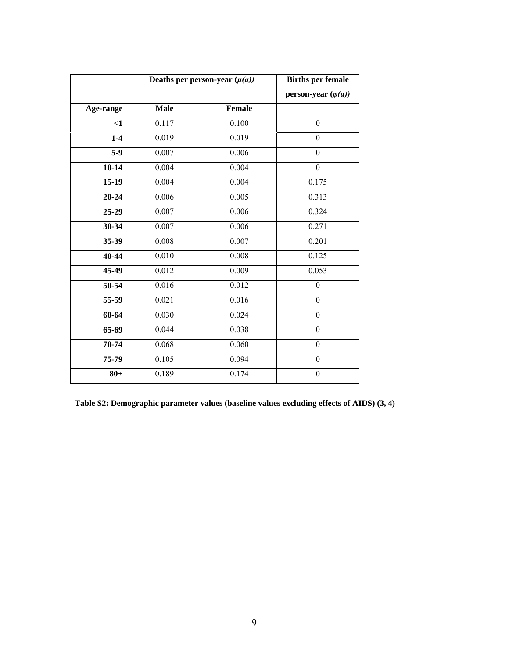|           |             | Deaths per person-year $(\mu(a))$ | <b>Births per female</b>   |
|-----------|-------------|-----------------------------------|----------------------------|
|           |             |                                   | person-year $(\varphi(a))$ |
| Age-range | <b>Male</b> | <b>Female</b>                     |                            |
| $<$ 1     | 0.117       | $\overline{0.100}$                | $\boldsymbol{0}$           |
| $1-4$     | 0.019       | 0.019                             | $\mathbf{0}$               |
| $5-9$     | 0.007       | 0.006                             | $\boldsymbol{0}$           |
| $10 - 14$ | 0.004       | 0.004                             | $\overline{0}$             |
| $15-19$   | 0.004       | 0.004                             | 0.175                      |
| $20 - 24$ | 0.006       | 0.005                             | 0.313                      |
| 25-29     | 0.007       | 0.006                             | 0.324                      |
| 30-34     | 0.007       | 0.006                             | 0.271                      |
| 35-39     | 0.008       | 0.007                             | 0.201                      |
| 40-44     | 0.010       | 0.008                             | 0.125                      |
| 45-49     | 0.012       | 0.009                             | 0.053                      |
| 50-54     | 0.016       | 0.012                             | $\boldsymbol{0}$           |
| 55-59     | 0.021       | 0.016                             | $\mathbf{0}$               |
| 60-64     | 0.030       | 0.024                             | $\boldsymbol{0}$           |
| $65-69$   | 0.044       | 0.038                             | $\boldsymbol{0}$           |
| 70-74     | 0.068       | 0.060                             | $\mathbf{0}$               |
| 75-79     | 0.105       | 0.094                             | $\boldsymbol{0}$           |
| $80 +$    | 0.189       | 0.174                             | $\mathbf{0}$               |

**Table S2: Demographic parameter values (baseline values excluding effects of AIDS) (3, 4)**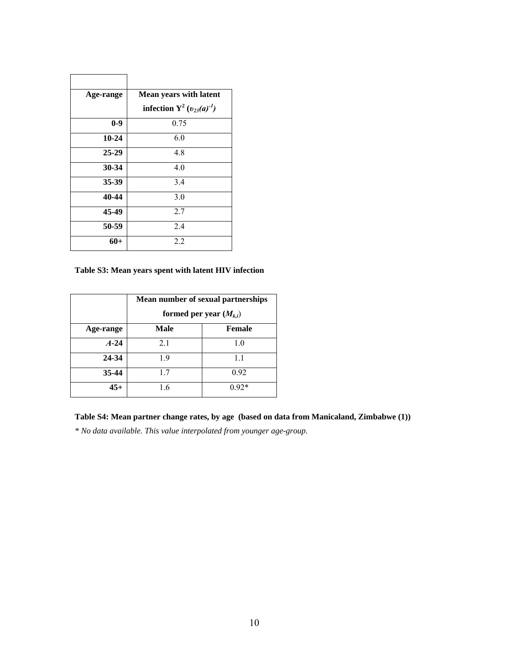| Age-range | <b>Mean years with latent</b><br>infection $Y^2$ ( $v_{23}(a)^{-1}$ ) |
|-----------|-----------------------------------------------------------------------|
| $0-9$     | 0.75                                                                  |
| $10 - 24$ | 6.0                                                                   |
| $25-29$   | 4.8                                                                   |
| 30-34     | 40                                                                    |
| 35-39     | 3.4                                                                   |
| 40-44     | 3.0                                                                   |
| 45-49     | 2.7                                                                   |
| 50-59     | 2.4                                                                   |
| $60+$     | 2.2                                                                   |

r

**Table S3: Mean years spent with latent HIV infection**

|           | Mean number of sexual partnerships<br>formed per year $(M_{k,i})$ |         |  |
|-----------|-------------------------------------------------------------------|---------|--|
| Age-range | Male                                                              | Female  |  |
| $A-24$    | 2.1                                                               | 1.0     |  |
| 24-34     | .9                                                                | 1.1     |  |
| $35 - 44$ | 1.7                                                               | 0.92    |  |
| $45+$     | 1.6                                                               | $0.92*$ |  |

**Table S4: Mean partner change rates, by age (based on data from Manicaland, Zimbabwe (1))** 

*\* No data available. This value interpolated from younger age-group.*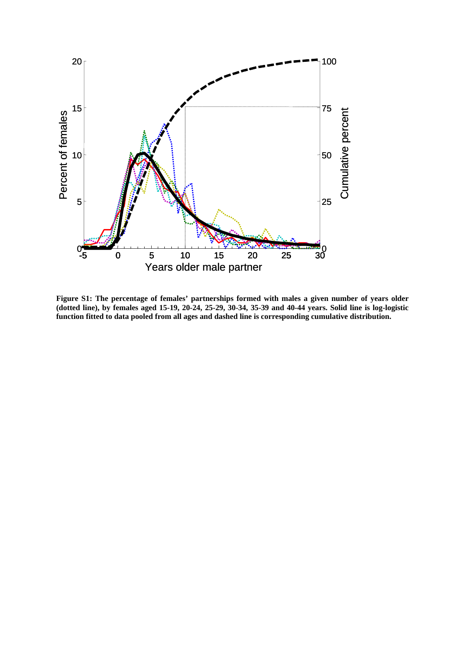

**Figure S1: The percentage of females' partnerships formed with males a given number of years older (dotted line), by females aged 15-19, 20-24, 25-29, 30-34, 35-39 and 40-44 years. Solid line is log-logistic function fitted to data pooled from all ages and dashed line is corresponding cumulative distribution.**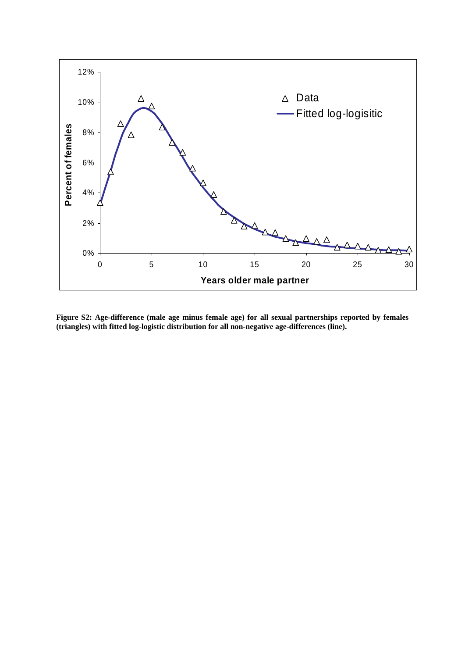

**Figure S2: Age-difference (male age minus female age) for all sexual partnerships reported by females (triangles) with fitted log-logistic distribution for all non-negative age-differences (line).**